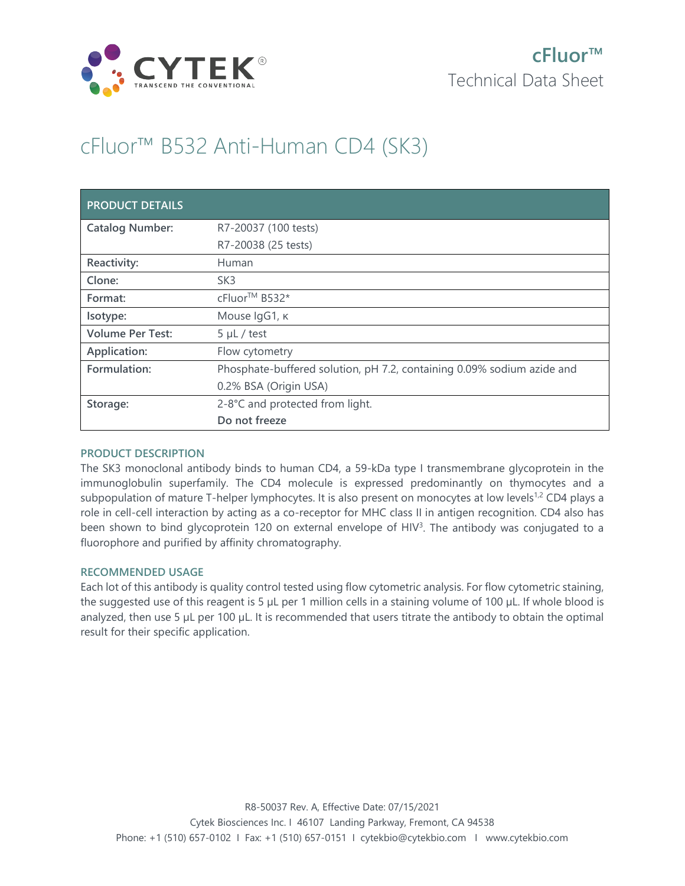

# cFluor™ B532 Anti-Human CD4 (SK3)

| <b>PRODUCT DETAILS</b>  |                                                                        |
|-------------------------|------------------------------------------------------------------------|
| <b>Catalog Number:</b>  | R7-20037 (100 tests)                                                   |
|                         | R7-20038 (25 tests)                                                    |
| Reactivity:             | Human                                                                  |
| Clone:                  | SK <sub>3</sub>                                                        |
| Format:                 | cFluor <sup>™</sup> B532*                                              |
| Isotype:                | Mouse IgG1, к                                                          |
| <b>Volume Per Test:</b> | $5 \mu L$ / test                                                       |
| Application:            | Flow cytometry                                                         |
| Formulation:            | Phosphate-buffered solution, pH 7.2, containing 0.09% sodium azide and |
|                         | 0.2% BSA (Origin USA)                                                  |
| Storage:                | 2-8°C and protected from light.                                        |
|                         | Do not freeze                                                          |

## **PRODUCT DESCRIPTION**

The SK3 monoclonal antibody binds to human CD4, a 59-kDa type I transmembrane glycoprotein in the immunoglobulin superfamily. The CD4 molecule is expressed predominantly on thymocytes and a subpopulation of mature T-helper lymphocytes. It is also present on monocytes at low levels<sup>1,2</sup> CD4 plays a role in cell-cell interaction by acting as a co-receptor for MHC class II in antigen recognition. CD4 also has been shown to bind glycoprotein 120 on external envelope of HIV<sup>3</sup>. The antibody was conjugated to a fluorophore and purified by affinity chromatography.

## **RECOMMENDED USAGE**

Each lot of this antibody is quality control tested using flow cytometric analysis. For flow cytometric staining, the suggested use of this reagent is 5 µL per 1 million cells in a staining volume of 100 µL. If whole blood is analyzed, then use 5 µL per 100 µL. It is recommended that users titrate the antibody to obtain the optimal result for their specific application.